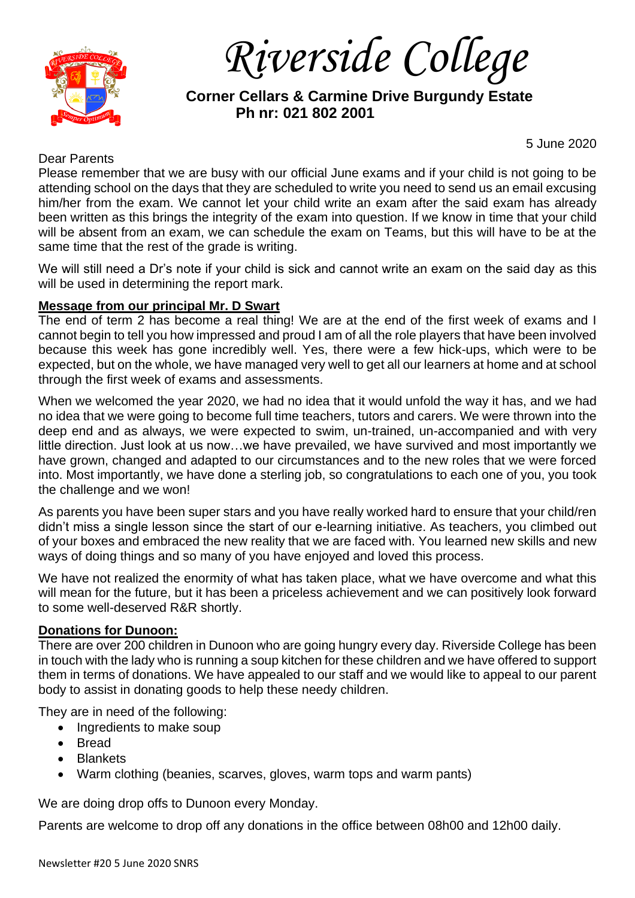

*Riverside College*

 **Corner Cellars & Carmine Drive Burgundy Estate Ph nr: 021 802 2001**

# Dear Parents

5 June 2020

Please remember that we are busy with our official June exams and if your child is not going to be attending school on the days that they are scheduled to write you need to send us an email excusing him/her from the exam. We cannot let your child write an exam after the said exam has already been written as this brings the integrity of the exam into question. If we know in time that your child will be absent from an exam, we can schedule the exam on Teams, but this will have to be at the same time that the rest of the grade is writing.

We will still need a Dr's note if your child is sick and cannot write an exam on the said day as this will be used in determining the report mark.

# **Message from our principal Mr. D Swart**

The end of term 2 has become a real thing! We are at the end of the first week of exams and I cannot begin to tell you how impressed and proud I am of all the role players that have been involved because this week has gone incredibly well. Yes, there were a few hick-ups, which were to be expected, but on the whole, we have managed very well to get all our learners at home and at school through the first week of exams and assessments.

When we welcomed the year 2020, we had no idea that it would unfold the way it has, and we had no idea that we were going to become full time teachers, tutors and carers. We were thrown into the deep end and as always, we were expected to swim, un-trained, un-accompanied and with very little direction. Just look at us now…we have prevailed, we have survived and most importantly we have grown, changed and adapted to our circumstances and to the new roles that we were forced into. Most importantly, we have done a sterling job, so congratulations to each one of you, you took the challenge and we won!

As parents you have been super stars and you have really worked hard to ensure that your child/ren didn't miss a single lesson since the start of our e-learning initiative. As teachers, you climbed out of your boxes and embraced the new reality that we are faced with. You learned new skills and new ways of doing things and so many of you have enjoyed and loved this process.

We have not realized the enormity of what has taken place, what we have overcome and what this will mean for the future, but it has been a priceless achievement and we can positively look forward to some well-deserved R&R shortly.

# **Donations for Dunoon:**

There are over 200 children in Dunoon who are going hungry every day. Riverside College has been in touch with the lady who is running a soup kitchen for these children and we have offered to support them in terms of donations. We have appealed to our staff and we would like to appeal to our parent body to assist in donating goods to help these needy children.

They are in need of the following:

- Ingredients to make soup
- Bread
- Blankets
- Warm clothing (beanies, scarves, gloves, warm tops and warm pants)

We are doing drop offs to Dunoon every Monday.

Parents are welcome to drop off any donations in the office between 08h00 and 12h00 daily.